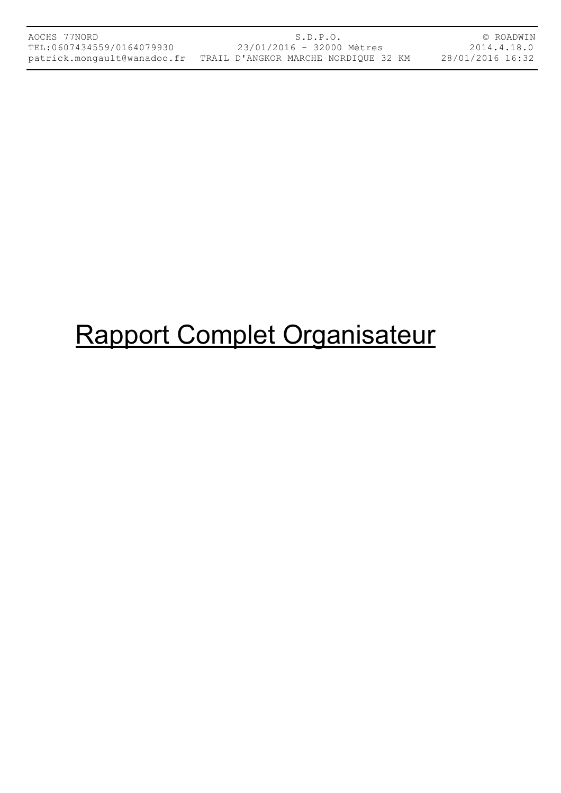# Rapport Complet Organisateur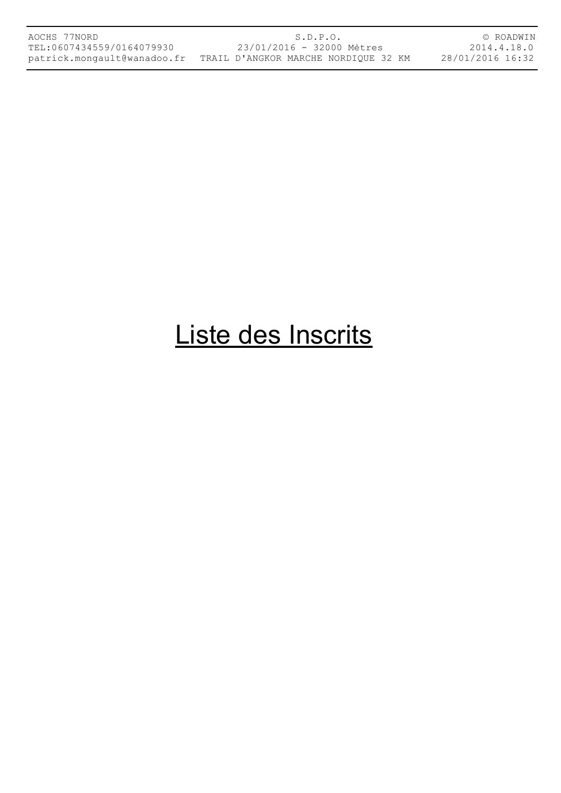S.D.P.O. 23/01/2016 - 32000 Mètres patrick.mongault@wanadoo.fr TRAIL D'ANGKOR MARCHE NORDIQUE 32 KM

© ROADWIN 2014.4.18.0 28/01/2016 16:32

### Liste des Inscrits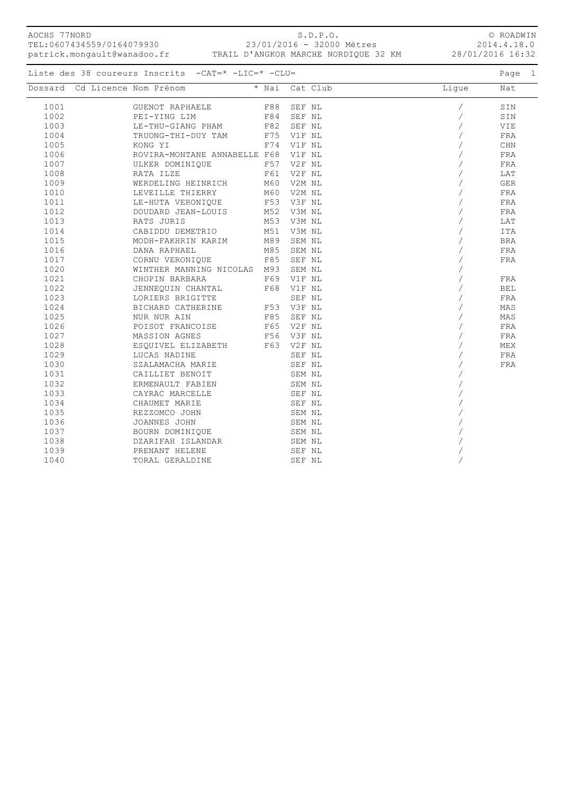| AOCHS 77NORD | TEL:0607434559/0164079930<br>patrick.mongault@wanadoo.fr  | S.D.P.O.<br>23/01/2016 - 32000 Mètres<br>TRAIL D'ANGKOR MARCHE NORDIQUE 32 KM |          |       | © ROADWIN<br>2014.4.18.0<br>28/01/2016 16:32 |
|--------------|-----------------------------------------------------------|-------------------------------------------------------------------------------|----------|-------|----------------------------------------------|
|              | Liste des 38 coureurs Inscrits $-CAT = * -LIC = * -CLU =$ |                                                                               |          |       | Page 1                                       |
| Dossard      | Cd Licence Nom Prénom                                     | * Nai                                                                         | Cat Club | Lique | Nat                                          |
| 1001         | GUENOT RAPHAELE                                           | F88                                                                           | SEF NL   |       | SIN                                          |
| 1002         | PEI-YING LIM                                              | F84                                                                           | SEF NL   |       | SIN                                          |
| 1003         | LE-THU-GIANG PHAM                                         | F82                                                                           | SEF NL   |       | VIE                                          |
| 1004         | TRUONG-THI-DUY TAM                                        | F75                                                                           | V1F NL   |       | FRA                                          |
| 1005         | KONG YI                                                   | F74                                                                           | V1F NL   |       | CHN                                          |
| 1006         | ROVIRA-MONTANE ANNABELLE                                  | F68                                                                           | V1F NL   |       | FRA                                          |
| 1007         | ULKER DOMINIOUE                                           | F57                                                                           | V2F NL   |       | FRA                                          |
| 1008         | RATA ILZE                                                 | F61                                                                           | V2F NL   |       | LAT                                          |
| 1009         | WERDELING HEINRICH                                        | M60                                                                           | V2M NL   |       | GER                                          |

1011 LE-HUTA VERONIQUE 1012 DOUDARD JEAN-LOUIS

JENNEQUIN CHANTAL

BICHARD CATHERINE

SZALAMACHA MARIE

ERMENAULT FABIEN

BOURN DOMINIQUE

1039 PRENANT HELENE SEF NL /

1010 LEVEILLE THIERRY M60 V2M NL / FRA

1013 RATS JURIS M53 V3M NL / LAT

 1015 MODH-FAKHRIN KARIM M89 SEM NL / BRA 1016 DANA RAPHAEL M85 SEM NL / FRA 1017 CORNU VERONIQUE F85 SEF NL / FRA

1021 CHOPIN BARBARA F69 V1F NL / FRA

1023 LORIERS BRIGITTE SEF NL / FRA

 1025 NUR NUR AIN F85 SEF NL / MAS 1026 POISOT FRANCOISE F65 V2F NL / FRA

 1028 ESQUIVEL ELIZABETH F63 V2F NL / MEX 1029 LUCAS NADINE SEF NL / FRA

1035 REZZOMCO JOHN SEM NL /

TORAL GERALDINE SEF NL SEF NL VIOLATION OF THE SEF NUMBER OF SEF NUMBER OF SEF NUMBER OF STATISTICS OF STATISTICS OF STATISTICS OF STATISTICS OF STATISTICS OF STATISTICS OF STATISTICS OF STATISTICS OF STATISTICS OF STATIST

1020 WINTHER MANNING NICOLAS M93 SEM NL /

1031 CAILLIET BENOIT SEM NL /

 1033 CAYRAC MARCELLE SEF NL / 1034 CHAUMET MARIE SEF NL /

1036 JOANNES JOHN SEM NL /

1038 DZARIFAH ISLANDAR SEM NL /

CABIDDU DEMETRIO M51 V3M NL / /

1012 DOUDARD JEAN-LOUIS M52 V3M NL (1912) M53 V3M NL (1912) Martin (1914) Martin (1914) Martin (1914) Martin (

1027 MASSION AGNES F56 V3F NL / FRA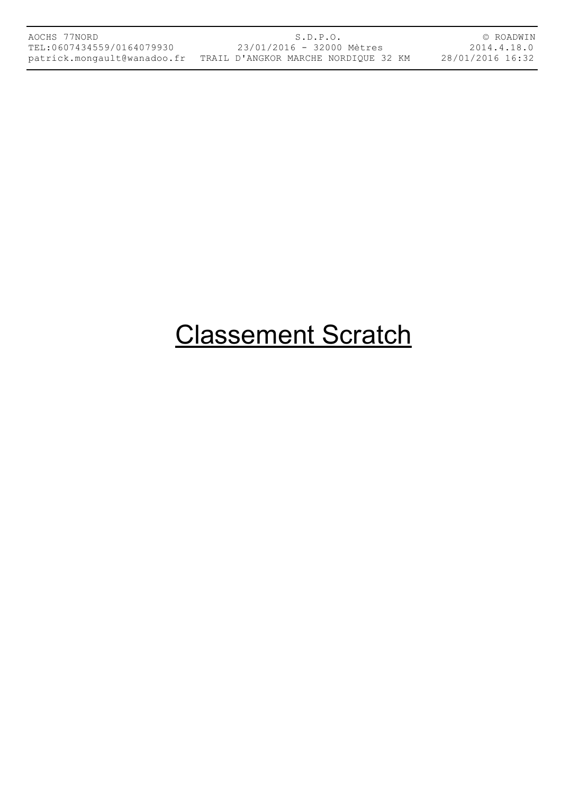© ROADWIN 2014.4.18.0 28/01/2016 16:32

### Classement Scratch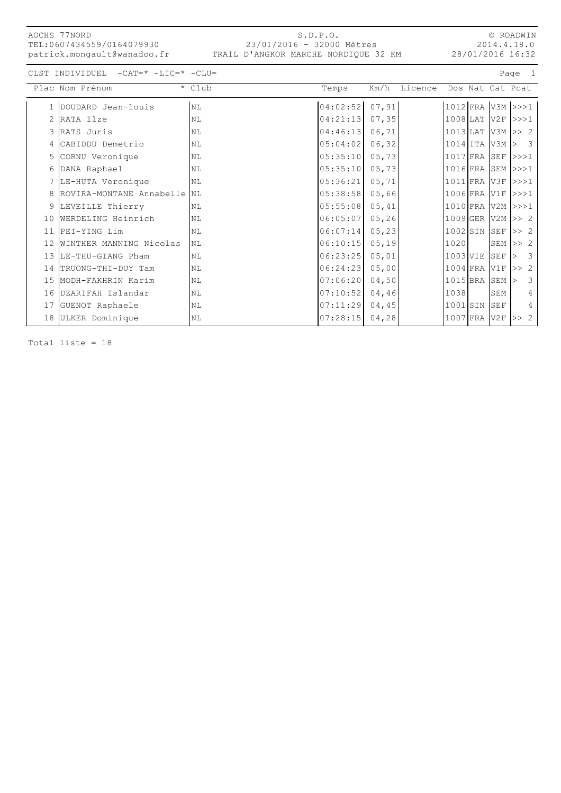| AOCHS 77NORD                |
|-----------------------------|
| TEL:0607434559/0164079930   |
| patrick.mongault@wanadoo.fr |

#### S.D.P.O. 23/01/2016 - 32000 Mètres TRAIL D'ANGKOR MARCHE NORDIQUE 32 KM

© ROADWIN 2014.4.18.0 28/01/2016 16:32

CLST INDIVIDUEL -CAT=\* -LIC=\* -CLU= Page 1

|    | Plac Nom Prénom               | * Club         | Temps    | Km/h   | Licence |                          | Dos Nat Cat Pcat |                      |                               |                         |
|----|-------------------------------|----------------|----------|--------|---------|--------------------------|------------------|----------------------|-------------------------------|-------------------------|
|    | 1 DOUDARD Jean-louis          | N <sub>L</sub> | 04:02:52 | 07,91  |         | $1012$ FRA V3M >>>1      |                  |                      |                               |                         |
| 2  | RATA Ilze                     | NL             | 04:21:13 | 07, 35 |         | $1008$ LAT               |                  | $V2F$ $>>$ $1$       |                               |                         |
|    | 3 RATS Juris                  | NL             | 04:46:13 | 06,71  |         | $ 1013 $ LAT $ V3M >> 2$ |                  |                      |                               |                         |
|    | 4 CABIDDU Demetrio            | NL             | 05:04:02 | 06, 32 |         | $1014$ ITA               |                  | V3M                  | $\overline{\phantom{a}}$<br>⊳ |                         |
|    | 5 CORNU Veronique             | NL             | 05:35:10 | 05,73  |         | $1017$ FRA               |                  | $SEF$ $>>$ $1$       |                               |                         |
|    | 6 DANA Raphael                | NL             | 05:35:10 | 05,73  |         | $1016$ FRA               |                  | $SEM$ $>>$ $1$       |                               |                         |
|    | 7 LE-HUTA Veronique           | <b>NL</b>      | 05:36:21 | 05, 71 |         | 1011 FRA V3F >>>1        |                  |                      |                               |                         |
|    | 8 ROVIRA-MONTANE Annabelle NL |                | 05:38:58 | 05,66  |         | 1006 FRA V1F >>>1        |                  |                      |                               |                         |
| 9  | LEVEILLE Thierry              | NL             | 05:55:08 | 05,41  |         | 1010 FRA V2M >>>1        |                  |                      |                               |                         |
| 10 | WERDELING Heinrich            | NT.            | 06:05:07 | 05, 26 |         | 1009 GER V2M >> 2        |                  |                      |                               |                         |
| 11 | PEI-YING Lim                  | NL             | 06:07:14 | 05, 23 |         | $1002$ SIN               |                  | SEF                  | >> 2                          |                         |
| 12 | WINTHER MANNING Nicolas       | <b>NL</b>      | 06:10:15 | 05, 19 |         | 1020                     |                  | $SEM \gg 2$          |                               |                         |
|    | 13  LE-THU-GIANG Pham         | NL             | 06:23:25 | 05,01  |         | 1003 VIE                 |                  | $\operatorname{SEF}$ |                               | $\overline{\mathbf{3}}$ |
| 14 | TRUONG-THI-DUY Tam            | NL             | 06:24:23 | 05,00  |         | $1004$ FRA               |                  | V1F                  | >> 2                          |                         |
|    | 15 MODH-FAKHRIN Karim         | NL             | 07:06:20 | 04,50  |         | $1015$ BRA               |                  | SEM                  |                               | 3                       |
| 16 | DZARIFAH Islandar             | <b>NL</b>      | 07:10:52 | 04, 46 |         | 1038                     |                  | SEM                  |                               | 4                       |
|    | 17 GUENOT Raphaele            | NL             | 07:11:29 | 04, 45 |         | 1001 SIN                 |                  | SEF                  |                               | 4                       |
|    | 18 ULKER Dominique            | $\rm NL$       | 07:28:15 | 04, 28 |         | $1007$ FRA V2F           |                  |                      | >> 2                          |                         |

Total liste = 18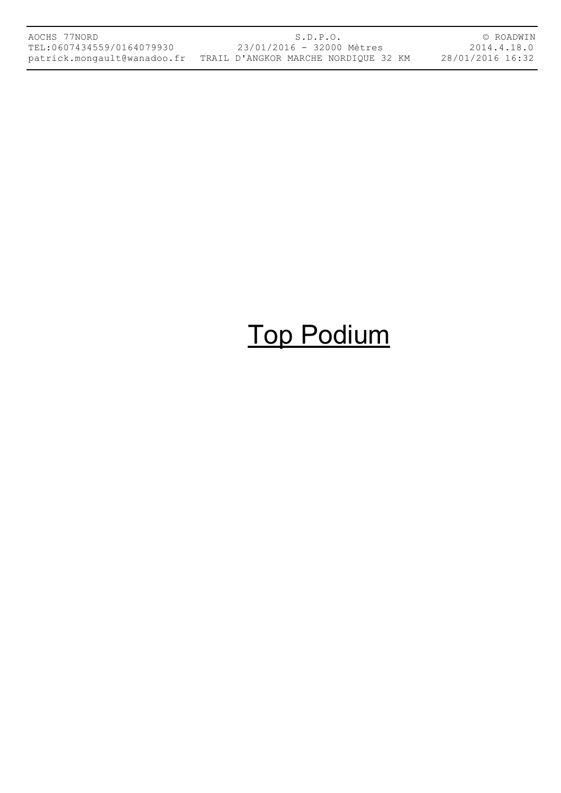| AOCHS 77NORD              | S.D.P.O.                                                         | © ROADWIN        |
|---------------------------|------------------------------------------------------------------|------------------|
| TEL:0607434559/0164079930 | 23/01/2016 - 32000 Mètres                                        | 2014.4.18.0      |
|                           | patrick.mongault@wanadoo.fr TRAIL D'ANGKOR MARCHE NORDIQUE 32 KM | 28/01/2016 16:32 |

# Top Podium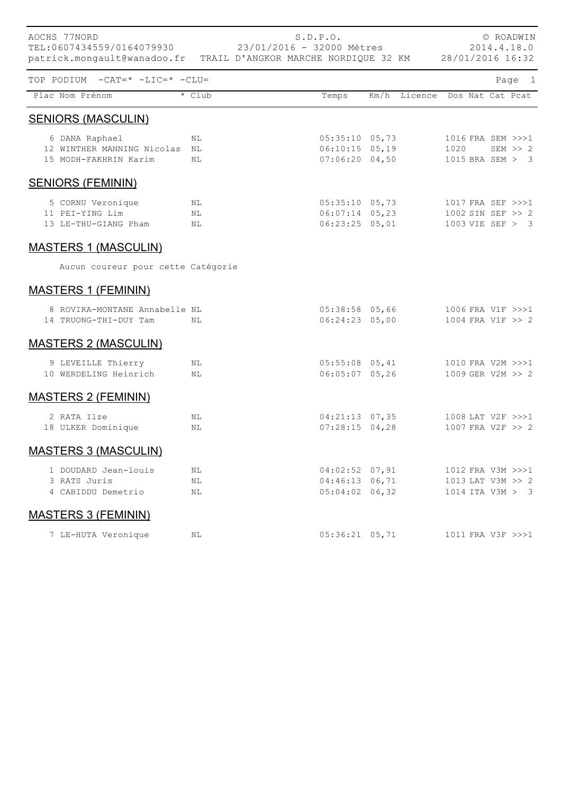| AOCHS 77NORD                                                 | S.D.P.O.<br>TEL:0607434559/0164079930 23/01/2016 - 32000 Mètres<br>patrick.mongault@wanadoo.fr TRAIL D'ANGKOR MARCHE NORDIQUE 32 KM 28/01/2016 16:32 |  |  |                                                          | © ROADWIN<br>2014.4.18.0 |                               |                                                            |  |  |             |  |
|--------------------------------------------------------------|------------------------------------------------------------------------------------------------------------------------------------------------------|--|--|----------------------------------------------------------|--------------------------|-------------------------------|------------------------------------------------------------|--|--|-------------|--|
| TOP PODIUM -CAT=* -LIC=* -CLU=                               |                                                                                                                                                      |  |  |                                                          |                          |                               |                                                            |  |  | Page 1      |  |
| Plac Nom Prénom                                              | * Club                                                                                                                                               |  |  | Temps                                                    |                          | Km/h Licence Dos Nat Cat Pcat |                                                            |  |  |             |  |
| <b>SENIORS (MASCULIN)</b>                                    |                                                                                                                                                      |  |  |                                                          |                          |                               |                                                            |  |  |             |  |
| 6 DANA Raphael<br>12 WINTHER MANNING Nicolas NL              | NL                                                                                                                                                   |  |  | $06:10:15$ 05,19                                         |                          | $05:35:10$ 05,73              | 1016 FRA SEM >>>1<br>1020                                  |  |  | $SEM \gg 2$ |  |
| 15 MODH-FAKHRIN Karim                                        | NL                                                                                                                                                   |  |  | $07:06:20$ 04,50                                         |                          |                               | 1015 BRA SEM > 3                                           |  |  |             |  |
| <b>SENIORS (FEMININ)</b>                                     |                                                                                                                                                      |  |  |                                                          |                          |                               |                                                            |  |  |             |  |
| 5 CORNU Veronique<br>11 PEI-YING Lim<br>13 LE-THU-GIANG Pham | ΝL<br>N <sub>L</sub><br>ΝL                                                                                                                           |  |  | $05:35:10$ 05,73<br>$06:07:14$ 05,23<br>$06:23:25$ 05,01 |                          |                               | 1017 FRA SEF >>>1<br>1002 SIN SEF >> 2<br>1003 VIE SEF > 3 |  |  |             |  |
| <b>MASTERS 1 (MASCULIN)</b>                                  |                                                                                                                                                      |  |  |                                                          |                          |                               |                                                            |  |  |             |  |
| Aucun coureur pour cette Catégorie                           |                                                                                                                                                      |  |  |                                                          |                          |                               |                                                            |  |  |             |  |
| <b>MASTERS 1 (FEMININ)</b>                                   |                                                                                                                                                      |  |  |                                                          |                          |                               |                                                            |  |  |             |  |
| 8 ROVIRA-MONTANE Annabelle NL<br>14 TRUONG-THI-DUY Tam       | NL                                                                                                                                                   |  |  | $05:38:58$ 05,66<br>$06:24:23$ 05,00                     |                          |                               | 1006 FRA V1F >>>1<br>1004 FRA V1F >> 2                     |  |  |             |  |
| <b>MASTERS 2 (MASCULIN)</b>                                  |                                                                                                                                                      |  |  |                                                          |                          |                               |                                                            |  |  |             |  |
| 9 LEVEILLE Thierry<br>10 WERDELING Heinrich                  | ΝL<br>NL                                                                                                                                             |  |  | $05:55:08$ 05,41<br>$06:05:07$ 05,26                     |                          |                               | 1010 FRA V2M >>>1<br>1009 GER V2M >> 2                     |  |  |             |  |
| <b>MASTERS 2 (FEMININ)</b>                                   |                                                                                                                                                      |  |  |                                                          |                          |                               |                                                            |  |  |             |  |
| 2 RATA Ilze<br>18 ULKER Dominique                            | ΝL<br>ΝL                                                                                                                                             |  |  | $04:21:13$ 07,35<br>$07:28:15$ 04,28                     |                          |                               | 1008 LAT V2F >>>1<br>1007 FRA V2F >> 2                     |  |  |             |  |
| <b>MASTERS 3 (MASCULIN)</b>                                  |                                                                                                                                                      |  |  |                                                          |                          |                               |                                                            |  |  |             |  |
| 1 DOUDARD Jean-louis<br>3 RATS Juris<br>4 CABIDDU Demetrio   | ΝL<br>ΝL<br>ΝL                                                                                                                                       |  |  | $04:02:52$ 07,91<br>$04:46:13$ 06,71<br>$05:04:02$ 06,32 |                          |                               | 1012 FRA V3M >>>1<br>1013 LAT V3M >> 2<br>1014 ITA V3M > 3 |  |  |             |  |
| <b>MASTERS 3 (FEMININ)</b>                                   |                                                                                                                                                      |  |  |                                                          |                          |                               |                                                            |  |  |             |  |
| 7 LE-HUTA Veronique                                          | ΝL                                                                                                                                                   |  |  | $05:36:21$ 05,71                                         |                          |                               | 1011 FRA V3F >>>1                                          |  |  |             |  |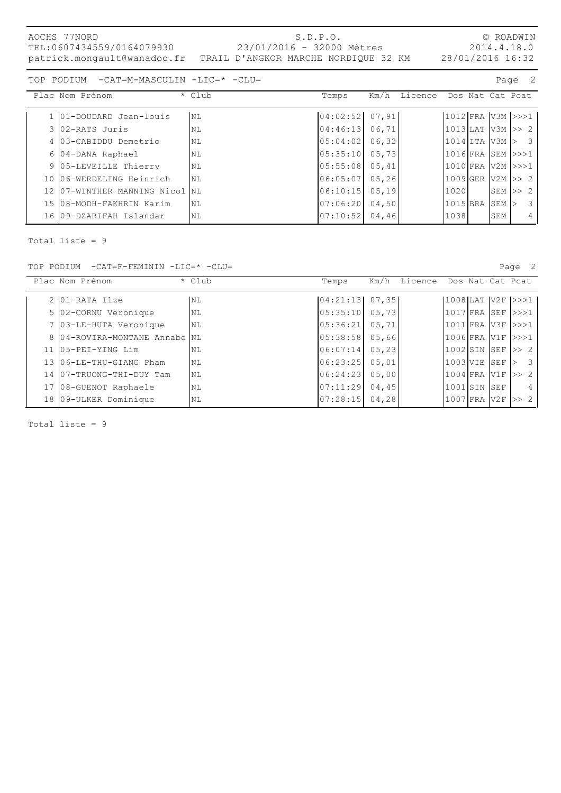| AOCHS 77NORD<br>TEL:0607434559/0164079930 | S.D.P.O.<br>23/01/2016 - 32000 Mètres<br>patrick.mongault@wanadoo.fr TRAIL D'ANGKOR MARCHE NORDIQUE 32 KM | © ROADWIN<br>2014.4.18.0<br>28/01/2016 16:32 |
|-------------------------------------------|-----------------------------------------------------------------------------------------------------------|----------------------------------------------|
| TOP PODIUM -CAT=M-MASCULIN -LIC=* -CLU=   |                                                                                                           | Page 2                                       |

|  | Plac Nom Prénom                | * Club    | Temps          |        | Km/h Licence Dos Nat Cat Poat |                         |           |                         |                |
|--|--------------------------------|-----------|----------------|--------|-------------------------------|-------------------------|-----------|-------------------------|----------------|
|  | 1 01-DOUDARD Jean-louis        | <b>NL</b> | 04:02:52 07,91 |        |                               | $ 1012 $ FRA $ V3M >>1$ |           |                         |                |
|  | 3 02-RATS Juris                | NL        | 04:46:13 06,71 |        |                               | $ 1013 $ LAT V3M $ >>2$ |           |                         |                |
|  | 4 03-CABIDDU Demetrio          | NL        | 05:04:02 06,32 |        |                               | $ 1014 $ ita v $3M > 3$ |           |                         |                |
|  | 6 04-DANA Raphael              | NL        | 05:35:10 05,73 |        |                               | 1016 FRA SEM >>>1       |           |                         |                |
|  | 9 05-LEVEILLE Thierry          | NL        | 05:55:08 05,41 |        |                               | 1010 FRA  V2M  >>>1     |           |                         |                |
|  | 10 06-WERDELING Heinrich       | <b>NL</b> | 06:05:07 05,26 |        |                               | $1009$ GER V2M $>> 2$   |           |                         |                |
|  | 12 07-WINTHER MANNING Nicol NL |           | 06:10:15       | 05, 19 |                               | 1020                    | SEM  >> 2 |                         |                |
|  | 15 08-MODH-FAKHRIN Karim       | <b>NL</b> | 07:06:20       | 04,50  |                               | 1015 BRA SEM >          |           | $\overline{\mathbf{3}}$ |                |
|  | 16 09-DZARIFAH Islandar        | NL        | 07:10:52 04,46 |        |                               | 10381                   | SEM       |                         | $\overline{4}$ |
|  |                                |           |                |        |                               |                         |           |                         |                |

Total liste = 9

TOP PODIUM -CAT=F-FEMININ -LIC=\* -CLU= Page 2

| Plac Nom Prénom               | * Club    | Temps          | Km/h<br>Licence Dos Nat Cat Pcat |                |            |                          |
|-------------------------------|-----------|----------------|----------------------------------|----------------|------------|--------------------------|
| 2 01-RATA Ilze                | NL        | 04:21:13 07,35 |                                  |                |            | $ 1008 $ LAT $ V2F >>1 $ |
| 5 02-CORNU Veronique          | NL        | 05:35:10       | 05,73                            | $1017$ FRA SEF |            | >>>1                     |
| ' 03-LE-HUTA Veronique        | <b>NL</b> | 05:36:21       | 05,71                            |                |            | 1011 FRA V3F  >>>1       |
| 8 04-ROVIRA-MONTANE Annabe NL |           | 05:38:58       | 05,66                            | 11006 FRA V1F  |            | >>>1                     |
| 11 05-PEI-YING Lim            | NL        | 06:07:14       | 05, 23                           | $1002$ SIN SEF |            | >> 2                     |
| 13 06-LE-THU-GIANG Pham       | NL        | 06:23:25       | 05,01                            | 11003 VIE 1    | <b>SEF</b> | 3                        |
| 14 07-TRUONG-THI-DUY Tam      | NL        | 06:24:23       | 05,00                            | 1004 FRA V1F   |            | >> 2                     |
| 08-GUENOT Raphaele            | NL        | 07:11:29       | 04,45                            | 11001ISIN ISEF |            | 4                        |
| 18 09-ULKER Dominique         | NL        | 07:28:15       | 04,28                            | 1007 FRA V2F   |            | >> 2                     |

Total liste = 9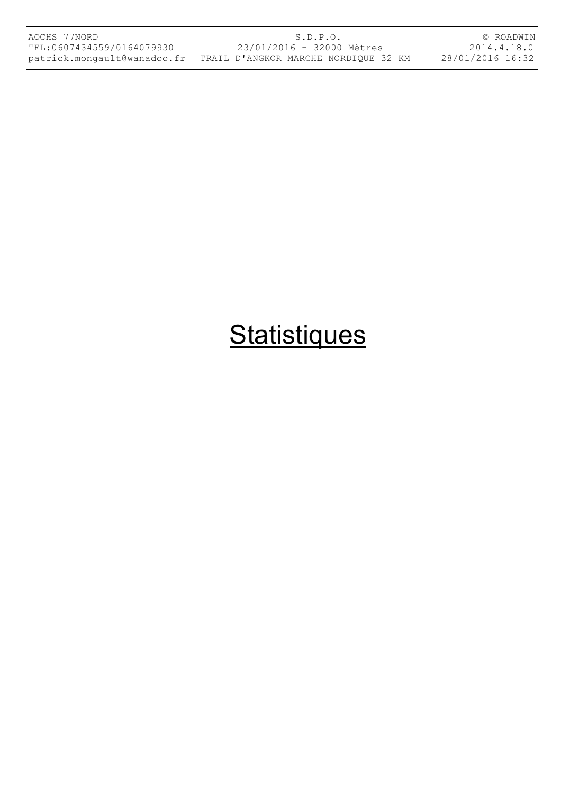| AOCHS 77NORD                |  |
|-----------------------------|--|
| TEL:0607434559/0164079930   |  |
| patrick.mongault@wanadoo.fr |  |

S.D.P.O. 23/01/2016 - 32000 Mètres TRAIL D'ANGKOR MARCHE NORDIQUE 32 KM

© ROADWIN 2014.4.18.0 28/01/2016 16:32

## **Statistiques**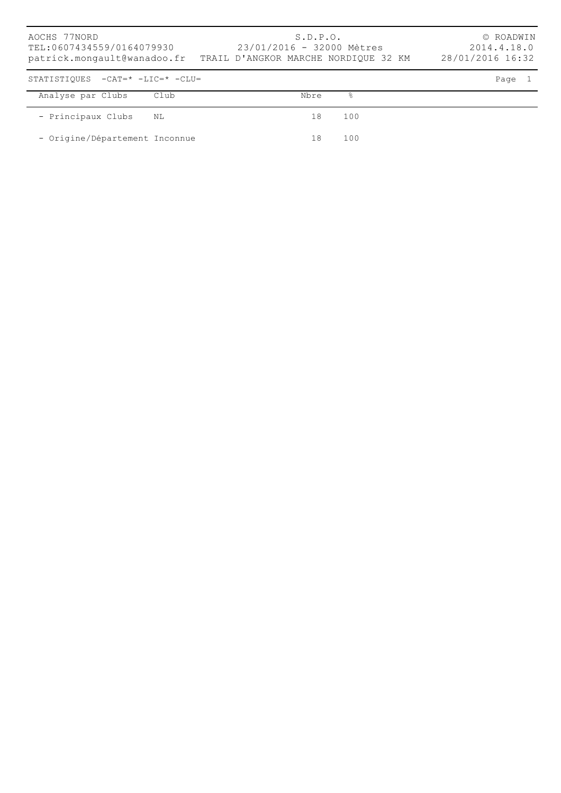| AOCHS 77NORD<br>TEL:0607434559/0164079930<br>patrick.mongault@wanadoo.fr TRAIL D'ANGKOR MARCHE NORDIQUE 32 KM |      | S.D.P.O.<br>23/01/2016 - 32000 Mètres |     | © ROADWIN<br>2014.4.18.0<br>28/01/2016 16:32 |
|---------------------------------------------------------------------------------------------------------------|------|---------------------------------------|-----|----------------------------------------------|
| STATISTIOUES $-CAT = * -LIC = * -CLU =$                                                                       |      |                                       |     | Page                                         |
| Analyse par Clubs                                                                                             | Club | Nbre                                  | °   |                                              |
| - Principaux Clubs                                                                                            | NL   | 18                                    | 100 |                                              |
| - Origine/Département Inconnue                                                                                |      | 18                                    | 100 |                                              |